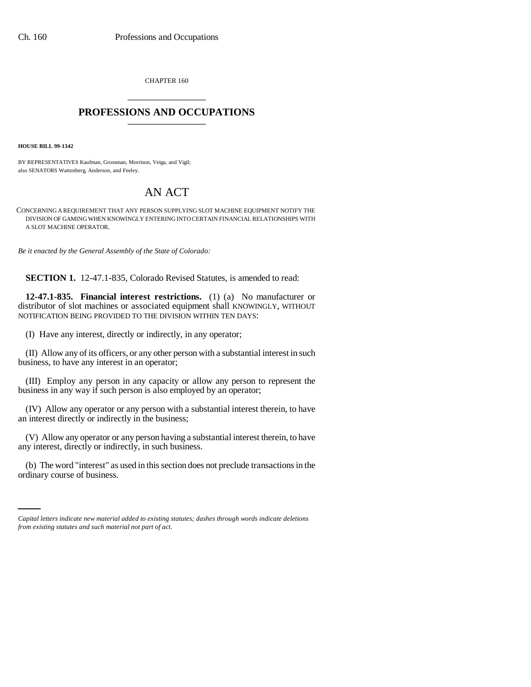CHAPTER 160 \_\_\_\_\_\_\_\_\_\_\_\_\_\_\_

## **PROFESSIONS AND OCCUPATIONS** \_\_\_\_\_\_\_\_\_\_\_\_\_\_\_

**HOUSE BILL 99-1342** 

BY REPRESENTATIVES Kaufman, Grossman, Morrison, Veiga, and Vigil; also SENATORS Wattenberg, Anderson, and Feeley.

## AN ACT

CONCERNING A REQUIREMENT THAT ANY PERSON SUPPLYING SLOT MACHINE EQUIPMENT NOTIFY THE DIVISION OF GAMING WHEN KNOWINGLY ENTERING INTO CERTAIN FINANCIAL RELATIONSHIPS WITH A SLOT MACHINE OPERATOR.

*Be it enacted by the General Assembly of the State of Colorado:*

**SECTION 1.** 12-47.1-835, Colorado Revised Statutes, is amended to read:

**12-47.1-835. Financial interest restrictions.** (1) (a) No manufacturer or distributor of slot machines or associated equipment shall KNOWINGLY, WITHOUT NOTIFICATION BEING PROVIDED TO THE DIVISION WITHIN TEN DAYS:

(I) Have any interest, directly or indirectly, in any operator;

(II) Allow any of its officers, or any other person with a substantial interest in such business, to have any interest in an operator;

(III) Employ any person in any capacity or allow any person to represent the business in any way if such person is also employed by an operator;

(IV) Allow any operator or any person with a substantial interest therein, to have an interest directly or indirectly in the business;

(V) Allow any operator or any person having a substantial interest therein, to have any interest, directly or indirectly, in such business.

(b) The word "interest" as used in this section does not preclude transactions in the ordinary course of business.

*Capital letters indicate new material added to existing statutes; dashes through words indicate deletions from existing statutes and such material not part of act.*